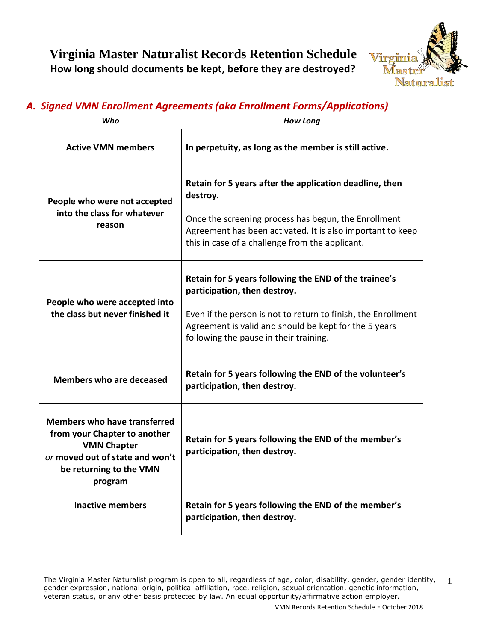

# *A. Signed VMN Enrollment Agreements (aka Enrollment Forms/Applications)*

| Who                                                                                                                                                                | <b>How Long</b>                                                                                                                                                                                                                                           |
|--------------------------------------------------------------------------------------------------------------------------------------------------------------------|-----------------------------------------------------------------------------------------------------------------------------------------------------------------------------------------------------------------------------------------------------------|
| <b>Active VMN members</b>                                                                                                                                          | In perpetuity, as long as the member is still active.                                                                                                                                                                                                     |
| People who were not accepted<br>into the class for whatever<br>reason                                                                                              | Retain for 5 years after the application deadline, then<br>destroy.<br>Once the screening process has begun, the Enrollment<br>Agreement has been activated. It is also important to keep<br>this in case of a challenge from the applicant.              |
| People who were accepted into<br>the class but never finished it                                                                                                   | Retain for 5 years following the END of the trainee's<br>participation, then destroy.<br>Even if the person is not to return to finish, the Enrollment<br>Agreement is valid and should be kept for the 5 years<br>following the pause in their training. |
| Members who are deceased                                                                                                                                           | Retain for 5 years following the END of the volunteer's<br>participation, then destroy.                                                                                                                                                                   |
| <b>Members who have transferred</b><br>from your Chapter to another<br><b>VMN Chapter</b><br>or moved out of state and won't<br>be returning to the VMN<br>program | Retain for 5 years following the END of the member's<br>participation, then destroy.                                                                                                                                                                      |
| <b>Inactive members</b>                                                                                                                                            | Retain for 5 years following the END of the member's<br>participation, then destroy.                                                                                                                                                                      |

The Virginia Master Naturalist program is open to all, regardless of age, color, disability, gender, gender identity, gender expression, national origin, political affiliation, race, religion, sexual orientation, genetic information, veteran status, or any other basis protected by law. An equal opportunity/affirmative action employer. 1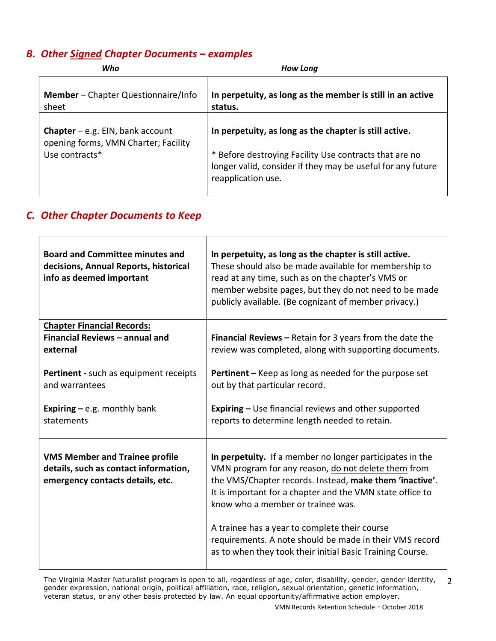### *B. Other Signed Chapter Documents – examples*

| Who                                                                                                 | <b>How Long</b>                                                                                                                                                                                       |
|-----------------------------------------------------------------------------------------------------|-------------------------------------------------------------------------------------------------------------------------------------------------------------------------------------------------------|
| Member - Chapter Questionnaire/Info<br>sheet                                                        | In perpetuity, as long as the member is still in an active<br>status.                                                                                                                                 |
| <b>Chapter</b> $-$ e.g. EIN, bank account<br>opening forms, VMN Charter; Facility<br>Use contracts* | In perpetuity, as long as the chapter is still active.<br>* Before destroying Facility Use contracts that are no<br>longer valid, consider if they may be useful for any future<br>reapplication use. |

## *C. Other Chapter Documents to Keep*

| <b>Board and Committee minutes and</b><br>decisions, Annual Reports, historical<br>info as deemed important        | In perpetuity, as long as the chapter is still active.<br>These should also be made available for membership to<br>read at any time, such as on the chapter's VMS or<br>member website pages, but they do not need to be made<br>publicly available. (Be cognizant of member privacy.)                                                                                                   |
|--------------------------------------------------------------------------------------------------------------------|------------------------------------------------------------------------------------------------------------------------------------------------------------------------------------------------------------------------------------------------------------------------------------------------------------------------------------------------------------------------------------------|
| <b>Chapter Financial Records:</b><br>Financial Reviews - annual and<br>external                                    | <b>Financial Reviews - Retain for 3 years from the date the</b><br>review was completed, along with supporting documents.                                                                                                                                                                                                                                                                |
| Pertinent - such as equipment receipts<br>and warrantees                                                           | <b>Pertinent</b> – Keep as long as needed for the purpose set<br>out by that particular record.                                                                                                                                                                                                                                                                                          |
| <b>Expiring – e.g. monthly bank</b><br>statements                                                                  | <b>Expiring - Use financial reviews and other supported</b><br>reports to determine length needed to retain.                                                                                                                                                                                                                                                                             |
| <b>VMS Member and Trainee profile</b><br>details, such as contact information,<br>emergency contacts details, etc. | In perpetuity. If a member no longer participates in the<br>VMN program for any reason, do not delete them from<br>the VMS/Chapter records. Instead, make them 'inactive'.<br>It is important for a chapter and the VMN state office to<br>know who a member or trainee was.<br>A trainee has a year to complete their course<br>requirements. A note should be made in their VMS record |
|                                                                                                                    | as to when they took their initial Basic Training Course.                                                                                                                                                                                                                                                                                                                                |

The Virginia Master Naturalist program is open to all, regardless of age, color, disability, gender, gender identity, gender expression, national origin, political affiliation, race, religion, sexual orientation, genetic information, veteran status, or any other basis protected by law. An equal opportunity/affirmative action employer. 2